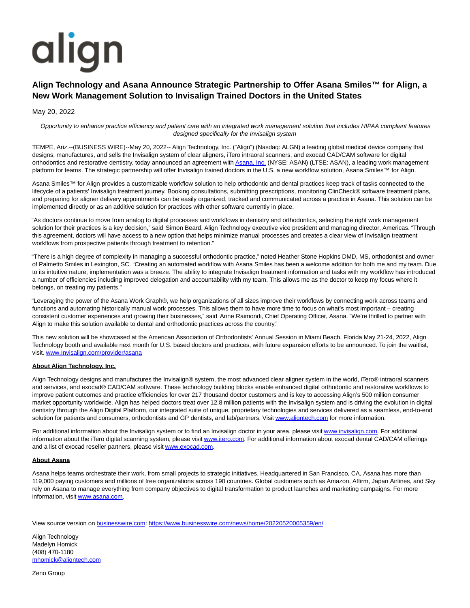# align

# **Align Technology and Asana Announce Strategic Partnership to Offer Asana Smiles™ for Align, a New Work Management Solution to Invisalign Trained Doctors in the United States**

## May 20, 2022

Opportunity to enhance practice efficiency and patient care with an integrated work management solution that includes HIPAA compliant features designed specifically for the Invisalign system

TEMPE, Ariz.--(BUSINESS WIRE)--May 20, 2022-- Align Technology, Inc. ("Align") (Nasdaq: ALGN) a leading global medical device company that designs, manufactures, and sells the Invisalign system of clear aligners, iTero intraoral scanners, and exocad CAD/CAM software for digital orthodontics and restorative dentistry, today announced an agreement with [Asana, Inc. \(](https://cts.businesswire.com/ct/CT?id=smartlink&url=http%3A%2F%2Fwww.asana.com&esheet=52725962&newsitemid=20220520005359&lan=en-US&anchor=Asana%2C+Inc.&index=1&md5=1b71910fa8bf169ceba01015a7c3a868)NYSE: ASAN) (LTSE: ASAN), a leading work management platform for teams. The strategic partnership will offer Invisalign trained doctors in the U.S. a new workflow solution, Asana Smiles™ for Align.

Asana Smiles™ for Align provides a customizable workflow solution to help orthodontic and dental practices keep track of tasks connected to the lifecycle of a patients' Invisalign treatment journey. Booking consultations, submitting prescriptions, monitoring ClinCheck® software treatment plans, and preparing for aligner delivery appointments can be easily organized, tracked and communicated across a practice in Asana. This solution can be implemented directly or as an additive solution for practices with other software currently in place.

"As doctors continue to move from analog to digital processes and workflows in dentistry and orthodontics, selecting the right work management solution for their practices is a key decision," said Simon Beard, Align Technology executive vice president and managing director, Americas. "Through this agreement, doctors will have access to a new option that helps minimize manual processes and creates a clear view of Invisalign treatment workflows from prospective patients through treatment to retention."

"There is a high degree of complexity in managing a successful orthodontic practice," noted Heather Stone Hopkins DMD, MS, orthodontist and owner of Palmetto Smiles in Lexington, SC. "Creating an automated workflow with Asana Smiles has been a welcome addition for both me and my team. Due to its intuitive nature, implementation was a breeze. The ability to integrate Invisalign treatment information and tasks with my workflow has introduced a number of efficiencies including improved delegation and accountability with my team. This allows me as the doctor to keep my focus where it belongs, on treating my patients."

"Leveraging the power of the Asana Work Graph®, we help organizations of all sizes improve their workflows by connecting work across teams and functions and automating historically manual work processes. This allows them to have more time to focus on what's most important – creating consistent customer experiences and growing their businesses," said Anne Raimondi, Chief Operating Officer, Asana. "We're thrilled to partner with Align to make this solution available to dental and orthodontic practices across the country."

This new solution will be showcased at the American Association of Orthodontists' Annual Session in Miami Beach, Florida May 21-24, 2022, Align Technology booth and available next month for U.S. based doctors and practices, with future expansion efforts to be announced. To join the waitlist, visit. [www.Invisalign.com/provider/asana](https://cts.businesswire.com/ct/CT?id=smartlink&url=http%3A%2F%2Fwww.Invisalign.com%2Fprovider%2Fasana&esheet=52725962&newsitemid=20220520005359&lan=en-US&anchor=www.Invisalign.com%2Fprovider%2Fasana&index=2&md5=9601520de67bf77909e6018152d33535)

### **About Align Technology, Inc.**

Align Technology designs and manufactures the Invisalign® system, the most advanced clear aligner system in the world, iTero® intraoral scanners and services, and exocad® CAD/CAM software. These technology building blocks enable enhanced digital orthodontic and restorative workflows to improve patient outcomes and practice efficiencies for over 217 thousand doctor customers and is key to accessing Align's 500 million consumer market opportunity worldwide. Align has helped doctors treat over 12.8 million patients with the Invisalign system and is driving the evolution in digital dentistry through the Align Digital Platform, our integrated suite of unique, proprietary technologies and services delivered as a seamless, end-to-end solution for patients and consumers, orthodontists and GP dentists, and lab/partners. Visit [www.aligntech.com f](https://cts.businesswire.com/ct/CT?id=smartlink&url=http%3A%2F%2Fwww.aligntech.com&esheet=52725962&newsitemid=20220520005359&lan=en-US&anchor=www.aligntech.com&index=3&md5=015fbcf3cb40981bad7f930bc1b19b3b)or more information.

For additional information about the Invisalign system or to find an Invisalign doctor in your area, please visi[t www.invisalign.com.](https://cts.businesswire.com/ct/CT?id=smartlink&url=http%3A%2F%2Fwww.invisalign.com&esheet=52725962&newsitemid=20220520005359&lan=en-US&anchor=www.invisalign.com&index=4&md5=cf6676aabe4bed4b0904a35b14ca1083) For additional information about the iTero digital scanning system, please visit [www.itero.com.](https://cts.businesswire.com/ct/CT?id=smartlink&url=http%3A%2F%2Fwww.itero.com&esheet=52725962&newsitemid=20220520005359&lan=en-US&anchor=www.itero.com&index=5&md5=d8ea2825d59101863b001304632a26b3) For additional information about exocad dental CAD/CAM offerings and a list of exocad reseller partners, please visi[t www.exocad.com.](https://cts.businesswire.com/ct/CT?id=smartlink&url=http%3A%2F%2Fwww.exocad.com&esheet=52725962&newsitemid=20220520005359&lan=en-US&anchor=www.exocad.com&index=6&md5=9a96eae52f718e3d084505672463ec5c)

### **About Asana**

Asana helps teams orchestrate their work, from small projects to strategic initiatives. Headquartered in San Francisco, CA, Asana has more than 119,000 paying customers and millions of free organizations across 190 countries. Global customers such as Amazon, Affirm, Japan Airlines, and Sky rely on Asana to manage everything from company objectives to digital transformation to product launches and marketing campaigns. For more information, visit [www.asana.com.](https://cts.businesswire.com/ct/CT?id=smartlink&url=http%3A%2F%2Fwww.asana.com&esheet=52725962&newsitemid=20220520005359&lan=en-US&anchor=www.asana.com&index=7&md5=149c2ce56343e935e25d9273b2b0a8d7)

View source version on [businesswire.com:](http://businesswire.com/)<https://www.businesswire.com/news/home/20220520005359/en/>

Align Technology Madelyn Homick (408) 470-1180 [mhomick@aligntech.com](mailto:mhomick@aligntech.com)

Zeno Group